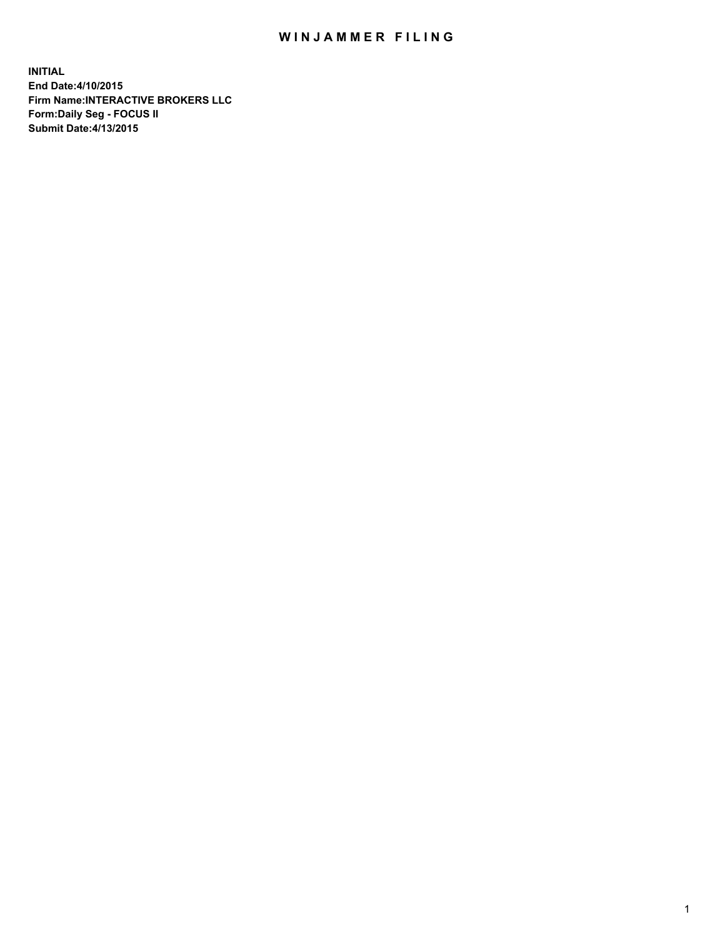## WIN JAMMER FILING

**INITIAL End Date:4/10/2015 Firm Name:INTERACTIVE BROKERS LLC Form:Daily Seg - FOCUS II Submit Date:4/13/2015**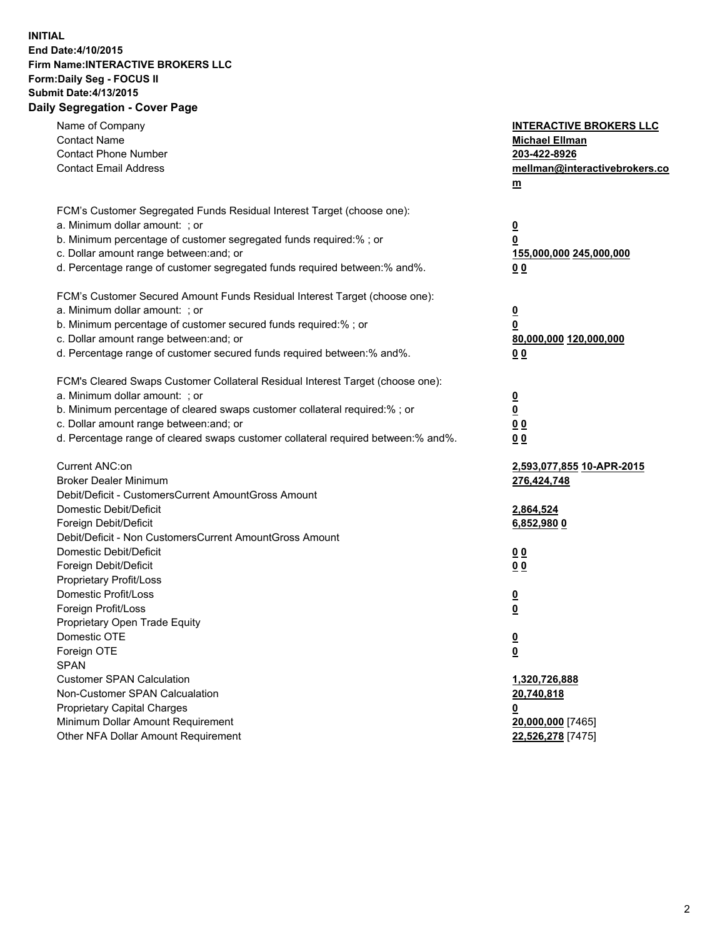## **INITIAL End Date:4/10/2015 Firm Name:INTERACTIVE BROKERS LLC Form:Daily Seg - FOCUS II Submit Date:4/13/2015 Daily Segregation - Cover Page**

| Name of Company<br><b>Contact Name</b><br><b>Contact Phone Number</b><br><b>Contact Email Address</b>                                                                                                                                                                                                                          | <b>INTERACTIVE BROKERS LLC</b><br><b>Michael Ellman</b><br>203-422-8926<br>mellman@interactivebrokers.co<br><u>m</u> |
|--------------------------------------------------------------------------------------------------------------------------------------------------------------------------------------------------------------------------------------------------------------------------------------------------------------------------------|----------------------------------------------------------------------------------------------------------------------|
| FCM's Customer Segregated Funds Residual Interest Target (choose one):<br>a. Minimum dollar amount: ; or<br>b. Minimum percentage of customer segregated funds required:% ; or<br>c. Dollar amount range between: and; or<br>d. Percentage range of customer segregated funds required between:% and%.                         | $\overline{\mathbf{0}}$<br>0<br>155,000,000 245,000,000<br>00                                                        |
| FCM's Customer Secured Amount Funds Residual Interest Target (choose one):<br>a. Minimum dollar amount: ; or<br>b. Minimum percentage of customer secured funds required:% ; or<br>c. Dollar amount range between: and; or<br>d. Percentage range of customer secured funds required between:% and%.                           | $\overline{\mathbf{0}}$<br>0<br>80,000,000 120,000,000<br>0 <sub>0</sub>                                             |
| FCM's Cleared Swaps Customer Collateral Residual Interest Target (choose one):<br>a. Minimum dollar amount: ; or<br>b. Minimum percentage of cleared swaps customer collateral required:% ; or<br>c. Dollar amount range between: and; or<br>d. Percentage range of cleared swaps customer collateral required between:% and%. | $\overline{\mathbf{0}}$<br><u>0</u><br>0 <sub>0</sub><br>0 <sub>0</sub>                                              |
| Current ANC:on<br><b>Broker Dealer Minimum</b><br>Debit/Deficit - CustomersCurrent AmountGross Amount<br>Domestic Debit/Deficit<br>Foreign Debit/Deficit                                                                                                                                                                       | 2,593,077,855 10-APR-2015<br>276,424,748<br>2,864,524<br>6,852,980 0                                                 |
| Debit/Deficit - Non CustomersCurrent AmountGross Amount<br>Domestic Debit/Deficit<br>Foreign Debit/Deficit<br>Proprietary Profit/Loss<br>Domestic Profit/Loss<br>Foreign Profit/Loss                                                                                                                                           | 0 <sub>0</sub><br>0 <sub>0</sub><br>$\overline{\mathbf{0}}$<br>$\overline{\mathbf{0}}$                               |
| Proprietary Open Trade Equity<br>Domestic OTE<br>Foreign OTE<br><b>SPAN</b><br><b>Customer SPAN Calculation</b><br>Non-Customer SPAN Calcualation                                                                                                                                                                              | $\overline{\mathbf{0}}$<br><u>0</u><br>1,320,726,888<br>20,740,818                                                   |
| <b>Proprietary Capital Charges</b><br>Minimum Dollar Amount Requirement<br>Other NFA Dollar Amount Requirement                                                                                                                                                                                                                 | <u>0</u><br>20,000,000 [7465]<br>22,526,278 [7475]                                                                   |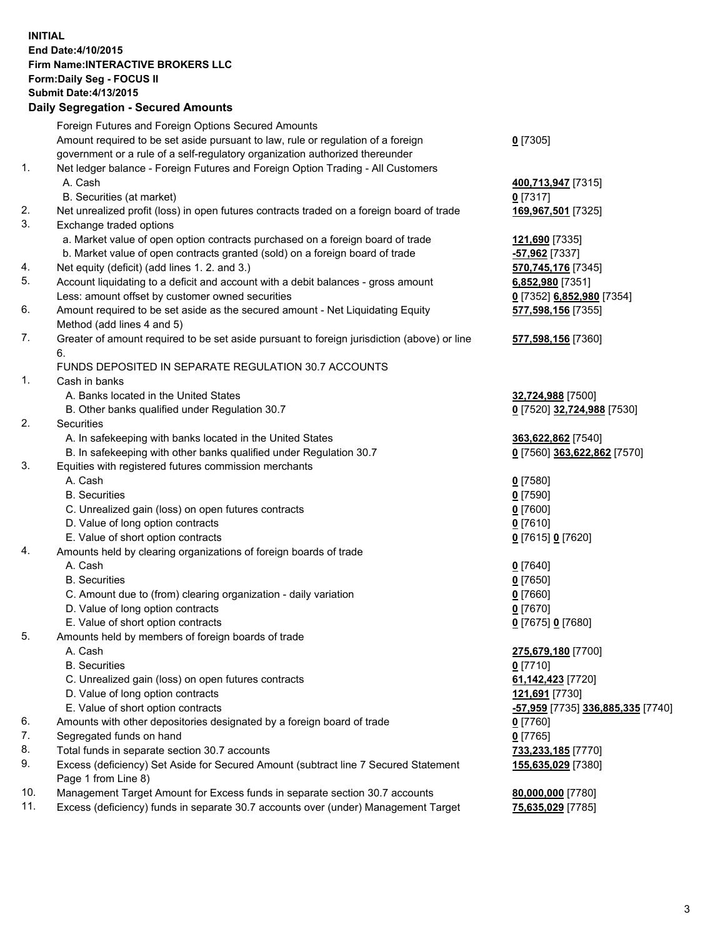## **INITIAL End Date:4/10/2015 Firm Name:INTERACTIVE BROKERS LLC Form:Daily Seg - FOCUS II Submit Date:4/13/2015 Daily Segregation - Secured Amounts**

|     | Daily Jegregation - Jeculed Aniounts                                                        |                                   |
|-----|---------------------------------------------------------------------------------------------|-----------------------------------|
|     | Foreign Futures and Foreign Options Secured Amounts                                         |                                   |
|     | Amount required to be set aside pursuant to law, rule or regulation of a foreign            | $0$ [7305]                        |
|     | government or a rule of a self-regulatory organization authorized thereunder                |                                   |
| 1.  | Net ledger balance - Foreign Futures and Foreign Option Trading - All Customers             |                                   |
|     | A. Cash                                                                                     | 400,713,947 [7315]                |
|     | B. Securities (at market)                                                                   | $0$ [7317]                        |
| 2.  | Net unrealized profit (loss) in open futures contracts traded on a foreign board of trade   | 169,967,501 [7325]                |
| 3.  | Exchange traded options                                                                     |                                   |
|     | a. Market value of open option contracts purchased on a foreign board of trade              | 121,690 [7335]                    |
|     | b. Market value of open contracts granted (sold) on a foreign board of trade                | -57,962 [7337]                    |
| 4.  | Net equity (deficit) (add lines 1.2. and 3.)                                                | 570,745,176 [7345]                |
| 5.  | Account liquidating to a deficit and account with a debit balances - gross amount           | 6,852,980 [7351]                  |
|     | Less: amount offset by customer owned securities                                            | 0 [7352] 6,852,980 [7354]         |
| 6.  | Amount required to be set aside as the secured amount - Net Liquidating Equity              | 577,598,156 [7355]                |
|     | Method (add lines 4 and 5)                                                                  |                                   |
| 7.  | Greater of amount required to be set aside pursuant to foreign jurisdiction (above) or line | 577,598,156 [7360]                |
|     | 6.                                                                                          |                                   |
|     | FUNDS DEPOSITED IN SEPARATE REGULATION 30.7 ACCOUNTS                                        |                                   |
| 1.  | Cash in banks                                                                               |                                   |
|     | A. Banks located in the United States                                                       | 32,724,988 [7500]                 |
|     | B. Other banks qualified under Regulation 30.7                                              | 0 [7520] 32,724,988 [7530]        |
| 2.  | Securities                                                                                  |                                   |
|     | A. In safekeeping with banks located in the United States                                   | 363,622,862 [7540]                |
|     | B. In safekeeping with other banks qualified under Regulation 30.7                          | 0 [7560] 363,622,862 [7570]       |
| 3.  | Equities with registered futures commission merchants                                       |                                   |
|     | A. Cash                                                                                     | $0$ [7580]                        |
|     | <b>B.</b> Securities                                                                        | $0$ [7590]                        |
|     | C. Unrealized gain (loss) on open futures contracts                                         | $0$ [7600]                        |
|     | D. Value of long option contracts                                                           | $0$ [7610]                        |
|     | E. Value of short option contracts                                                          | 0 [7615] 0 [7620]                 |
| 4.  | Amounts held by clearing organizations of foreign boards of trade                           |                                   |
|     | A. Cash                                                                                     | $0$ [7640]                        |
|     | <b>B.</b> Securities                                                                        | $0$ [7650]                        |
|     | C. Amount due to (from) clearing organization - daily variation                             | $0$ [7660]                        |
|     | D. Value of long option contracts                                                           | $0$ [7670]                        |
|     | E. Value of short option contracts                                                          | 0 [7675] 0 [7680]                 |
| 5.  | Amounts held by members of foreign boards of trade                                          |                                   |
|     | A. Cash                                                                                     | 275,679,180 [7700]                |
|     | <b>B.</b> Securities                                                                        | $0$ [7710]                        |
|     | C. Unrealized gain (loss) on open futures contracts                                         | 61,142,423 [7720]                 |
|     | D. Value of long option contracts                                                           | 121,691 [7730]                    |
|     | E. Value of short option contracts                                                          | -57,959 [7735] 336,885,335 [7740] |
| 6.  | Amounts with other depositories designated by a foreign board of trade                      | $0$ [7760]                        |
| 7.  | Segregated funds on hand                                                                    | $0$ [7765]                        |
| 8.  | Total funds in separate section 30.7 accounts                                               | 733,233,185 [7770]                |
| 9.  | Excess (deficiency) Set Aside for Secured Amount (subtract line 7 Secured Statement         | 155,635,029 [7380]                |
|     | Page 1 from Line 8)                                                                         |                                   |
| 10. | Management Target Amount for Excess funds in separate section 30.7 accounts                 | 80,000,000 [7780]                 |
| 11. | Excess (deficiency) funds in separate 30.7 accounts over (under) Management Target          | 75,635,029 [7785]                 |
|     |                                                                                             |                                   |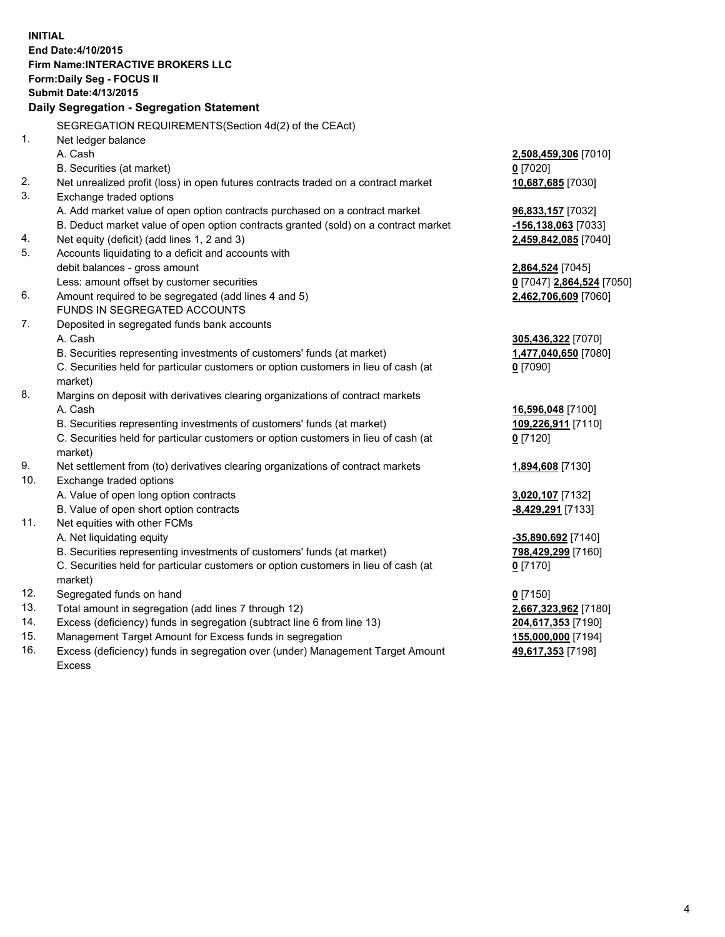**INITIAL End Date:4/10/2015 Firm Name:INTERACTIVE BROKERS LLC Form:Daily Seg - FOCUS II Submit Date:4/13/2015 Daily Segregation - Segregation Statement** SEGREGATION REQUIREMENTS(Section 4d(2) of the CEAct) 1. Net ledger balance A. Cash **2,508,459,306** [7010] B. Securities (at market) **0** [7020] 2. Net unrealized profit (loss) in open futures contracts traded on a contract market **10,687,685** [7030] 3. Exchange traded options A. Add market value of open option contracts purchased on a contract market **96,833,157** [7032] B. Deduct market value of open option contracts granted (sold) on a contract market **-156,138,063** [7033] 4. Net equity (deficit) (add lines 1, 2 and 3) **2,459,842,085** [7040] 5. Accounts liquidating to a deficit and accounts with debit balances - gross amount **2,864,524** [7045] Less: amount offset by customer securities **0** [7047] **2,864,524** [7050] 6. Amount required to be segregated (add lines 4 and 5) **2,462,706,609** [7060] FUNDS IN SEGREGATED ACCOUNTS 7. Deposited in segregated funds bank accounts A. Cash **305,436,322** [7070] B. Securities representing investments of customers' funds (at market) **1,477,040,650** [7080] C. Securities held for particular customers or option customers in lieu of cash (at market) **0** [7090] 8. Margins on deposit with derivatives clearing organizations of contract markets A. Cash **16,596,048** [7100] B. Securities representing investments of customers' funds (at market) **109,226,911** [7110] C. Securities held for particular customers or option customers in lieu of cash (at market) **0** [7120] 9. Net settlement from (to) derivatives clearing organizations of contract markets **1,894,608** [7130] 10. Exchange traded options A. Value of open long option contracts **3,020,107** [7132] B. Value of open short option contracts **-8,429,291** [7133] 11. Net equities with other FCMs A. Net liquidating equity **-35,890,692** [7140] B. Securities representing investments of customers' funds (at market) **798,429,299** [7160] C. Securities held for particular customers or option customers in lieu of cash (at market) **0** [7170] 12. Segregated funds on hand **0** [7150] 13. Total amount in segregation (add lines 7 through 12) **2,667,323,962** [7180] 14. Excess (deficiency) funds in segregation (subtract line 6 from line 13) **204,617,353** [7190] 15. Management Target Amount for Excess funds in segregation **155,000,000** [7194]

16. Excess (deficiency) funds in segregation over (under) Management Target Amount Excess

**49,617,353** [7198]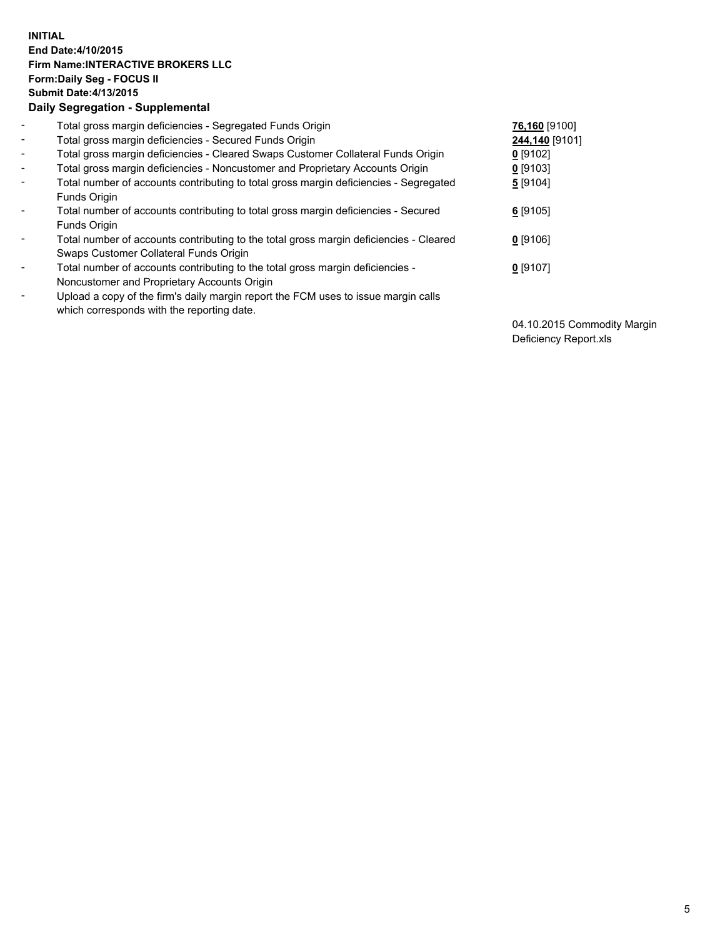## **INITIAL End Date:4/10/2015 Firm Name:INTERACTIVE BROKERS LLC Form:Daily Seg - FOCUS II Submit Date:4/13/2015 Daily Segregation - Supplemental**

| $\blacksquare$           | Total gross margin deficiencies - Segregated Funds Origin                                                                        | 76,160 [9100]  |
|--------------------------|----------------------------------------------------------------------------------------------------------------------------------|----------------|
| $\blacksquare$           | Total gross margin deficiencies - Secured Funds Origin                                                                           | 244,140 [9101] |
| $\blacksquare$           | Total gross margin deficiencies - Cleared Swaps Customer Collateral Funds Origin                                                 | $0$ [9102]     |
| $\blacksquare$           | Total gross margin deficiencies - Noncustomer and Proprietary Accounts Origin                                                    | $0$ [9103]     |
| $\blacksquare$           | Total number of accounts contributing to total gross margin deficiencies - Segregated<br>Funds Origin                            | 5 [9104]       |
| $\blacksquare$           | Total number of accounts contributing to total gross margin deficiencies - Secured<br><b>Funds Origin</b>                        | $6$ [9105]     |
| $\overline{\phantom{a}}$ | Total number of accounts contributing to the total gross margin deficiencies - Cleared<br>Swaps Customer Collateral Funds Origin | $0$ [9106]     |
| -                        | Total number of accounts contributing to the total gross margin deficiencies -<br>Noncustomer and Proprietary Accounts Origin    | $0$ [9107]     |
| $\blacksquare$           | Upload a copy of the firm's daily margin report the FCM uses to issue margin calls<br>which corresponds with the reporting date. |                |

04.10.2015 Commodity Margin Deficiency Report.xls